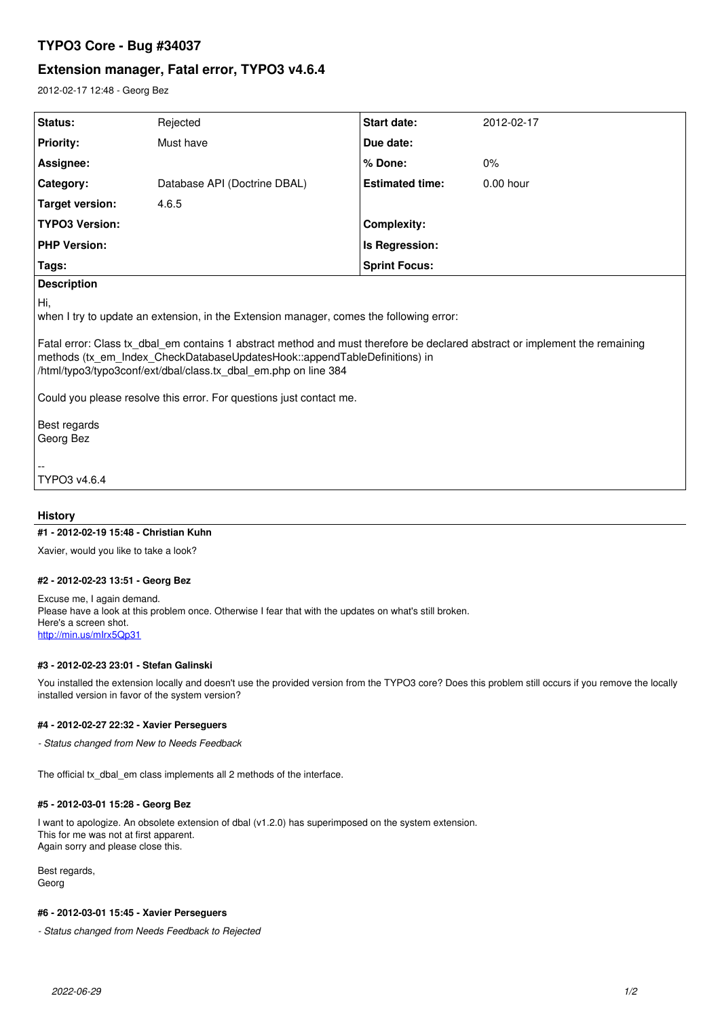# **TYPO3 Core - Bug #34037**

# **Extension manager, Fatal error, TYPO3 v4.6.4**

2012-02-17 12:48 - Georg Bez

| Status:                                                                                        | Rejected                     | <b>Start date:</b>     | 2012-02-17  |
|------------------------------------------------------------------------------------------------|------------------------------|------------------------|-------------|
| <b>Priority:</b>                                                                               | Must have                    | Due date:              |             |
| Assignee:                                                                                      |                              | % Done:                | $0\%$       |
| Category:                                                                                      | Database API (Doctrine DBAL) | <b>Estimated time:</b> | $0.00$ hour |
| <b>Target version:</b>                                                                         | 4.6.5                        |                        |             |
| <b>TYPO3 Version:</b>                                                                          |                              | Complexity:            |             |
| <b>PHP Version:</b>                                                                            |                              | Is Regression:         |             |
| Tags:                                                                                          |                              | <b>Sprint Focus:</b>   |             |
| <b>Description</b>                                                                             |                              |                        |             |
| Hi,<br>when I try to update an extension, in the Extension manager, comes the following error: |                              |                        |             |

Fatal error: Class tx\_dbal\_em contains 1 abstract method and must therefore be declared abstract or implement the remaining methods (tx\_em\_Index\_CheckDatabaseUpdatesHook::appendTableDefinitions) in /html/typo3/typo3conf/ext/dbal/class.tx\_dbal\_em.php on line 384

Could you please resolve this error. For questions just contact me.

Best regards Georg Bez

-- TYPO3 v4.6.4

### **History**

#### **#1 - 2012-02-19 15:48 - Christian Kuhn**

Xavier, would you like to take a look?

### **#2 - 2012-02-23 13:51 - Georg Bez**

Excuse me, I again demand. Please have a look at this problem once. Otherwise I fear that with the updates on what's still broken. Here's a screen shot. <http://min.us/mIrx5Qp31>

#### **#3 - 2012-02-23 23:01 - Stefan Galinski**

You installed the extension locally and doesn't use the provided version from the TYPO3 core? Does this problem still occurs if you remove the locally installed version in favor of the system version?

#### **#4 - 2012-02-27 22:32 - Xavier Perseguers**

*- Status changed from New to Needs Feedback*

The official tx\_dbal\_em class implements all 2 methods of the interface.

#### **#5 - 2012-03-01 15:28 - Georg Bez**

I want to apologize. An obsolete extension of dbal (v1.2.0) has superimposed on the system extension. This for me was not at first apparent. Again sorry and please close this.

Best regards, Georg

#### **#6 - 2012-03-01 15:45 - Xavier Perseguers**

*- Status changed from Needs Feedback to Rejected*